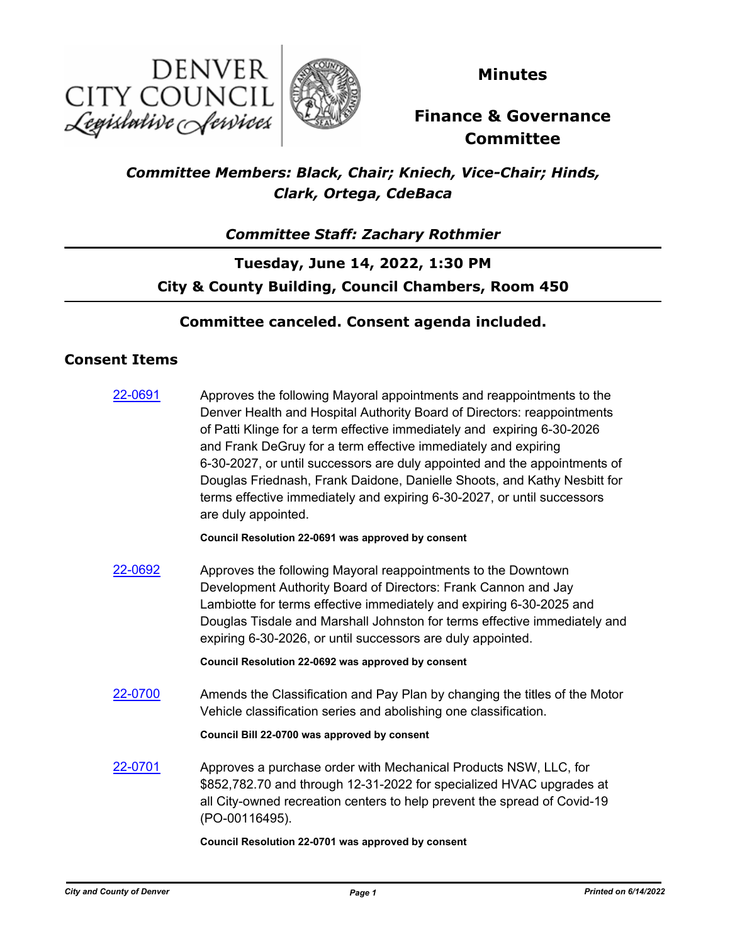



**Minutes**

# **Finance & Governance Committee**

## *Committee Members: Black, Chair; Kniech, Vice-Chair; Hinds, Clark, Ortega, CdeBaca*

### *Committee Staff: Zachary Rothmier*

## **Tuesday, June 14, 2022, 1:30 PM City & County Building, Council Chambers, Room 450**

#### **Committee canceled. Consent agenda included.**

#### **Consent Items**

| 22-0691 | Approves the following Mayoral appointments and reappointments to the<br>Denver Health and Hospital Authority Board of Directors: reappointments<br>of Patti Klinge for a term effective immediately and expiring 6-30-2026<br>and Frank DeGruy for a term effective immediately and expiring<br>6-30-2027, or until successors are duly appointed and the appointments of<br>Douglas Friednash, Frank Daidone, Danielle Shoots, and Kathy Nesbitt for<br>terms effective immediately and expiring 6-30-2027, or until successors<br>are duly appointed. |
|---------|----------------------------------------------------------------------------------------------------------------------------------------------------------------------------------------------------------------------------------------------------------------------------------------------------------------------------------------------------------------------------------------------------------------------------------------------------------------------------------------------------------------------------------------------------------|
|         | Council Resolution 22-0691 was approved by consent                                                                                                                                                                                                                                                                                                                                                                                                                                                                                                       |
| 22-0692 | Approves the following Mayoral reappointments to the Downtown<br>Development Authority Board of Directors: Frank Cannon and Jay<br>Lambiotte for terms effective immediately and expiring 6-30-2025 and<br>Douglas Tisdale and Marshall Johnston for terms effective immediately and<br>expiring 6-30-2026, or until successors are duly appointed.                                                                                                                                                                                                      |
|         | Council Resolution 22-0692 was approved by consent                                                                                                                                                                                                                                                                                                                                                                                                                                                                                                       |
| 22-0700 | Amends the Classification and Pay Plan by changing the titles of the Motor<br>Vehicle classification series and abolishing one classification.                                                                                                                                                                                                                                                                                                                                                                                                           |
|         | Council Bill 22-0700 was approved by consent                                                                                                                                                                                                                                                                                                                                                                                                                                                                                                             |
| 22-0701 | Approves a purchase order with Mechanical Products NSW, LLC, for<br>\$852,782.70 and through 12-31-2022 for specialized HVAC upgrades at<br>all City-owned recreation centers to help prevent the spread of Covid-19<br>(PO-00116495).                                                                                                                                                                                                                                                                                                                   |
|         |                                                                                                                                                                                                                                                                                                                                                                                                                                                                                                                                                          |

#### **Council Resolution 22-0701 was approved by consent**